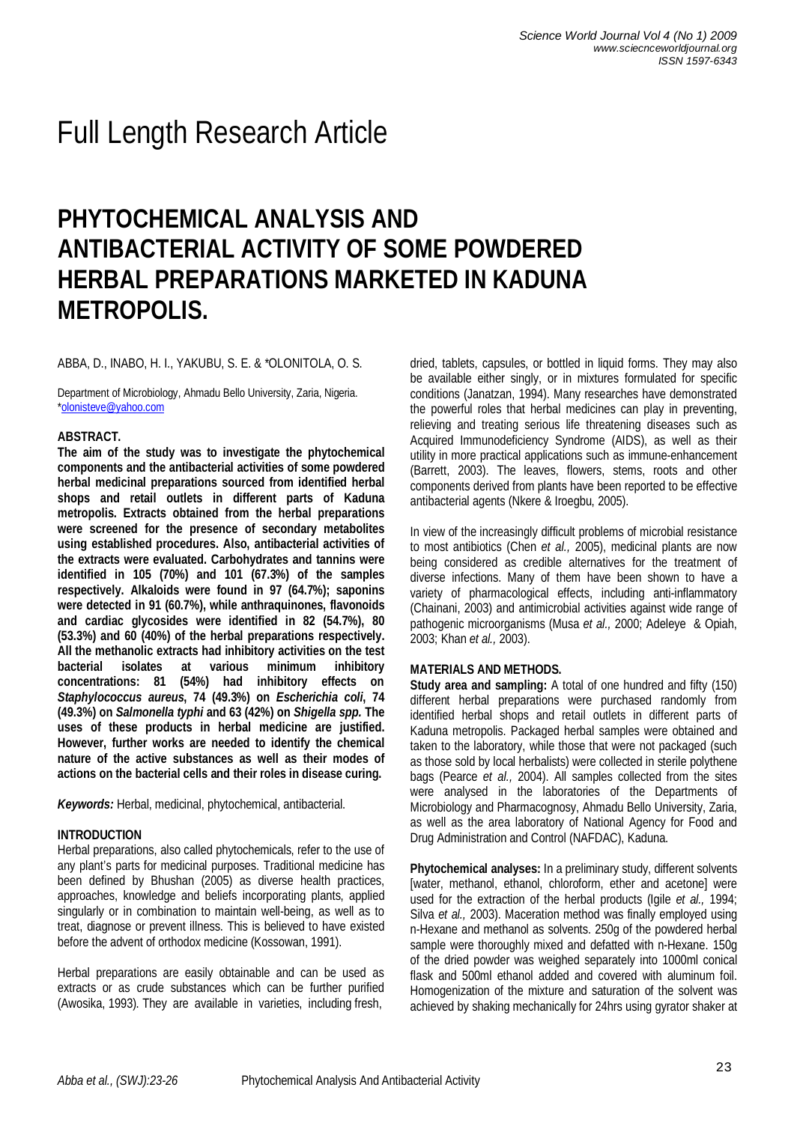# Full Length Research Article

# **PHYTOCHEMICAL ANALYSIS AND ANTIBACTERIAL ACTIVITY OF SOME POWDERED HERBAL PREPARATIONS MARKETED IN KADUNA METROPOLIS.**

ABBA, D., INABO, H. I., YAKUBU, S. E. & \*OLONITOLA, O. S.

Department of Microbiology, Ahmadu Bello University, Zaria, Nigeria. \*olonisteve@yahoo.com

#### **ABSTRACT.**

**The aim of the study was to investigate the phytochemical components and the antibacterial activities of some powdered herbal medicinal preparations sourced from identified herbal shops and retail outlets in different parts of Kaduna metropolis. Extracts obtained from the herbal preparations were screened for the presence of secondary metabolites using established procedures. Also, antibacterial activities of the extracts were evaluated. Carbohydrates and tannins were identified in 105 (70%) and 101 (67.3%) of the samples respectively. Alkaloids were found in 97 (64.7%); saponins were detected in 91 (60.7%), while anthraquinones, flavonoids and cardiac glycosides were identified in 82 (54.7%), 80 (53.3%) and 60 (40%) of the herbal preparations respectively. All the methanolic extracts had inhibitory activities on the test bacterial isolates at various minimum inhibitory concentrations: 81 (54%) had inhibitory effects on**  *Staphylococcus aureus***, 74 (49.3%) on** *Escherichia coli***, 74 (49.3%) on** *Salmonella typhi* **and 63 (42%) on** *Shigella spp.* **The uses of these products in herbal medicine are justified. However, further works are needed to identify the chemical nature of the active substances as well as their modes of actions on the bacterial cells and their roles in disease curing.**

*Keywords:* Herbal, medicinal, phytochemical, antibacterial.

## **INTRODUCTION**

Herbal preparations, also called phytochemicals, refer to the use of any plant's parts for medicinal purposes. Traditional medicine has been defined by Bhushan (2005) as diverse health practices, approaches, knowledge and beliefs incorporating plants, applied singularly or in combination to maintain well-being, as well as to treat, diagnose or prevent illness. This is believed to have existed before the advent of orthodox medicine (Kossowan, 1991).

Herbal preparations are easily obtainable and can be used as extracts or as crude substances which can be further purified (Awosika, 1993). They are available in varieties, including fresh,

dried, tablets, capsules, or bottled in liquid forms. They may also be available either singly, or in mixtures formulated for specific conditions (Janatzan, 1994). Many researches have demonstrated the powerful roles that herbal medicines can play in preventing, relieving and treating serious life threatening diseases such as Acquired Immunodeficiency Syndrome (AIDS), as well as their utility in more practical applications such as immune-enhancement (Barrett, 2003). The leaves, flowers, stems, roots and other components derived from plants have been reported to be effective antibacterial agents (Nkere & Iroegbu, 2005).

In view of the increasingly difficult problems of microbial resistance to most antibiotics (Chen *et al.,* 2005), medicinal plants are now being considered as credible alternatives for the treatment of diverse infections. Many of them have been shown to have a variety of pharmacological effects, including anti-inflammatory (Chainani, 2003) and antimicrobial activities against wide range of pathogenic microorganisms (Musa *et al.,* 2000; Adeleye & Opiah, 2003; Khan *et al.,* 2003).

## **MATERIALS AND METHODS.**

**Study area and sampling:** A total of one hundred and fifty (150) different herbal preparations were purchased randomly from identified herbal shops and retail outlets in different parts of Kaduna metropolis. Packaged herbal samples were obtained and taken to the laboratory, while those that were not packaged (such as those sold by local herbalists) were collected in sterile polythene bags (Pearce *et al.,* 2004). All samples collected from the sites were analysed in the laboratories of the Departments of Microbiology and Pharmacognosy, Ahmadu Bello University, Zaria, as well as the area laboratory of National Agency for Food and Drug Administration and Control (NAFDAC), Kaduna.

**Phytochemical analyses:** In a preliminary study, different solvents [water, methanol, ethanol, chloroform, ether and acetone] were used for the extraction of the herbal products (Igile *et al.,* 1994; Silva *et al.,* 2003). Maceration method was finally employed using n-Hexane and methanol as solvents. 250g of the powdered herbal sample were thoroughly mixed and defatted with n-Hexane. 150g of the dried powder was weighed separately into 1000ml conical flask and 500ml ethanol added and covered with aluminum foil. Homogenization of the mixture and saturation of the solvent was achieved by shaking mechanically for 24hrs using gyrator shaker at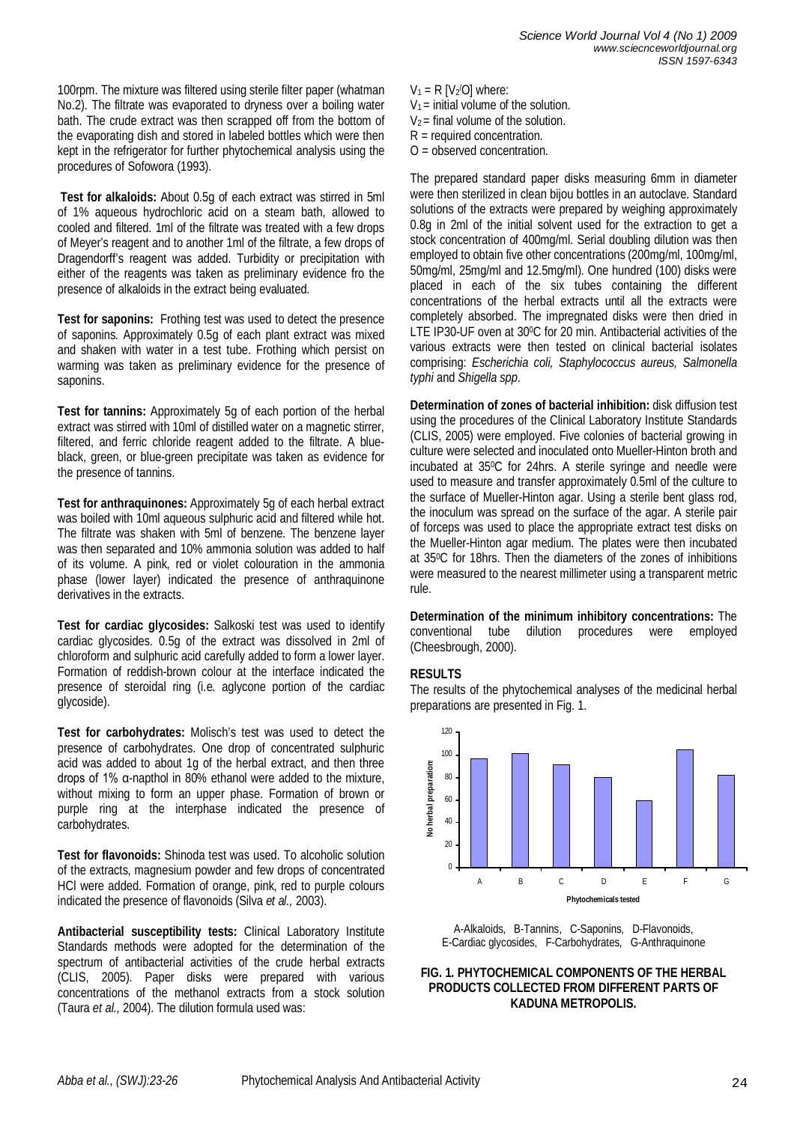100rpm. The mixture was filtered using sterile filter paper (whatman No.2). The filtrate was evaporated to dryness over a boiling water bath. The crude extract was then scrapped off from the bottom of the evaporating dish and stored in labeled bottles which were then kept in the refrigerator for further phytochemical analysis using the procedures of Sofowora (1993).

**Test for alkaloids:** About 0.5g of each extract was stirred in 5ml of 1% aqueous hydrochloric acid on a steam bath, allowed to cooled and filtered. 1ml of the filtrate was treated with a few drops of Meyer's reagent and to another 1ml of the filtrate, a few drops of Dragendorff's reagent was added. Turbidity or precipitation with either of the reagents was taken as preliminary evidence fro the presence of alkaloids in the extract being evaluated.

**Test for saponins:** Frothing test was used to detect the presence of saponins. Approximately 0.5g of each plant extract was mixed and shaken with water in a test tube. Frothing which persist on warming was taken as preliminary evidence for the presence of saponins.

**Test for tannins:** Approximately 5g of each portion of the herbal extract was stirred with 10ml of distilled water on a magnetic stirrer, filtered, and ferric chloride reagent added to the filtrate. A blueblack, green, or blue-green precipitate was taken as evidence for the presence of tannins.

**Test for anthraquinones:** Approximately 5g of each herbal extract was boiled with 10ml aqueous sulphuric acid and filtered while hot. The filtrate was shaken with 5ml of benzene. The benzene layer was then separated and 10% ammonia solution was added to half of its volume. A pink, red or violet colouration in the ammonia phase (lower layer) indicated the presence of anthraquinone derivatives in the extracts.

**Test for cardiac glycosides:** Salkoski test was used to identify cardiac glycosides. 0.5g of the extract was dissolved in 2ml of chloroform and sulphuric acid carefully added to form a lower layer. Formation of reddish-brown colour at the interface indicated the presence of steroidal ring (i.e. aglycone portion of the cardiac glycoside).

**Test for carbohydrates:** Molisch's test was used to detect the presence of carbohydrates. One drop of concentrated sulphuric acid was added to about 1g of the herbal extract, and then three drops of 1% α-napthol in 80% ethanol were added to the mixture, without mixing to form an upper phase. Formation of brown or purple ring at the interphase indicated the presence of carbohydrates.

**Test for flavonoids:** Shinoda test was used. To alcoholic solution of the extracts, magnesium powder and few drops of concentrated HCl were added. Formation of orange, pink, red to purple colours indicated the presence of flavonoids (Silva *et al.,* 2003).

**Antibacterial susceptibility tests:** Clinical Laboratory Institute Standards methods were adopted for the determination of the spectrum of antibacterial activities of the crude herbal extracts (CLIS, 2005). Paper disks were prepared with various concentrations of the methanol extracts from a stock solution (Taura *et al.,* 2004). The dilution formula used was:

- $V_1 = R$  [V<sub>2</sub>/O] where:  $V_1$  = initial volume of the solution.
- $V_2$  = final volume of the solution.
- $R =$  required concentration.
- O = observed concentration.

The prepared standard paper disks measuring 6mm in diameter were then sterilized in clean bijou bottles in an autoclave. Standard solutions of the extracts were prepared by weighing approximately 0.8g in 2ml of the initial solvent used for the extraction to get a stock concentration of 400mg/ml. Serial doubling dilution was then employed to obtain five other concentrations (200mg/ml, 100mg/ml, 50mg/ml, 25mg/ml and 12.5mg/ml). One hundred (100) disks were placed in each of the six tubes containing the different concentrations of the herbal extracts until all the extracts were completely absorbed. The impregnated disks were then dried in LTE IP30-UF oven at 30°C for 20 min. Antibacterial activities of the various extracts were then tested on clinical bacterial isolates comprising: *Escherichia coli, Staphylococcus aureus, Salmonella typhi* and *Shigella spp*.

**Determination of zones of bacterial inhibition:** disk diffusion test using the procedures of the Clinical Laboratory Institute Standards (CLIS, 2005) were employed. Five colonies of bacterial growing in culture were selected and inoculated onto Mueller-Hinton broth and incubated at 350C for 24hrs. A sterile syringe and needle were used to measure and transfer approximately 0.5ml of the culture to the surface of Mueller-Hinton agar. Using a sterile bent glass rod, the inoculum was spread on the surface of the agar. A sterile pair of forceps was used to place the appropriate extract test disks on the Mueller-Hinton agar medium. The plates were then incubated at 350C for 18hrs. Then the diameters of the zones of inhibitions were measured to the nearest millimeter using a transparent metric rule.

**Determination of the minimum inhibitory concentrations:** The conventional tube dilution procedures were employed (Cheesbrough, 2000).

# **RESULTS**

The results of the phytochemical analyses of the medicinal herbal preparations are presented in Fig. 1.



A-Alkaloids, B-Tannins, C-Saponins, D-Flavonoids, E-Cardiac glycosides, F-Carbohydrates, G-Anthraquinone

**FIG. 1. PHYTOCHEMICAL COMPONENTS OF THE HERBAL PRODUCTS COLLECTED FROM DIFFERENT PARTS OF KADUNA METROPOLIS.**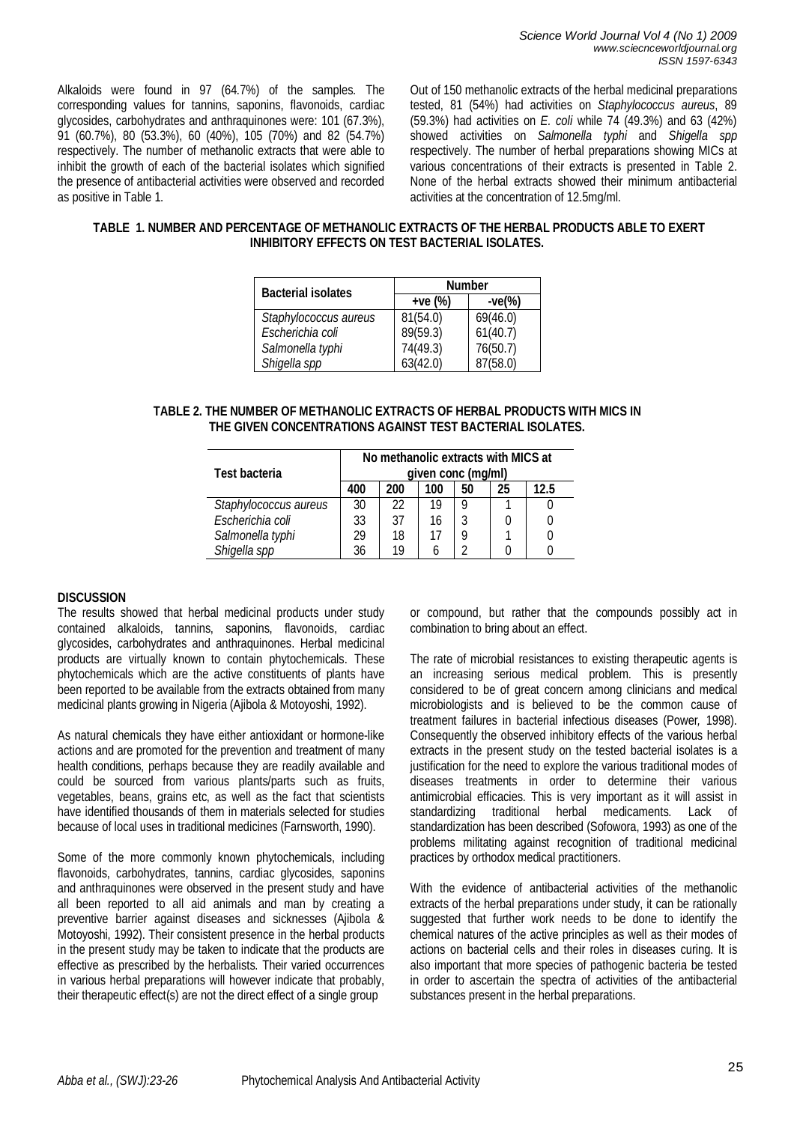Alkaloids were found in 97 (64.7%) of the samples. The corresponding values for tannins, saponins, flavonoids, cardiac glycosides, carbohydrates and anthraquinones were: 101 (67.3%), 91 (60.7%), 80 (53.3%), 60 (40%), 105 (70%) and 82 (54.7%) respectively. The number of methanolic extracts that were able to inhibit the growth of each of the bacterial isolates which signified the presence of antibacterial activities were observed and recorded as positive in Table 1.

Out of 150 methanolic extracts of the herbal medicinal preparations tested, 81 (54%) had activities on *Staphylococcus aureus*, 89 (59.3%) had activities on *E. coli* while 74 (49.3%) and 63 (42%) showed activities on *Salmonella typhi* and *Shigella spp* respectively. The number of herbal preparations showing MICs at various concentrations of their extracts is presented in Table 2. None of the herbal extracts showed their minimum antibacterial activities at the concentration of 12.5mg/ml.

# **TABLE 1. NUMBER AND PERCENTAGE OF METHANOLIC EXTRACTS OF THE HERBAL PRODUCTS ABLE TO EXERT INHIBITORY EFFECTS ON TEST BACTERIAL ISOLATES.**

| <b>Bacterial isolates</b> | <b>Number</b> |           |  |  |
|---------------------------|---------------|-----------|--|--|
|                           | +ve (%)       | $-ve(\%)$ |  |  |
| Staphylococcus aureus     | 81(54.0)      | 69(46.0)  |  |  |
| Escherichia coli          | 89(59.3)      | 61(40.7)  |  |  |
| Salmonella typhi          | 74(49.3)      | 76(50.7)  |  |  |
| Shigella spp              | 63(42.0)      | 87(58.0)  |  |  |

# **TABLE 2. THE NUMBER OF METHANOLIC EXTRACTS OF HERBAL PRODUCTS WITH MICS IN THE GIVEN CONCENTRATIONS AGAINST TEST BACTERIAL ISOLATES.**

| <b>Test bacteria</b>  | No methanolic extracts with MICS at<br>given conc (mg/ml) |     |     |    |    |      |  |
|-----------------------|-----------------------------------------------------------|-----|-----|----|----|------|--|
|                       | 400                                                       | 200 | 100 | 50 | 25 | 12.5 |  |
| Staphylococcus aureus | 30                                                        | 22  | 19  | 9  |    |      |  |
| Escherichia coli      | 33                                                        | 37  | 16  |    |    |      |  |
| Salmonella typhi      | 29                                                        | 18  | 17  |    |    |      |  |
| Shigella spp          | 36                                                        | 19  | 6   |    |    |      |  |

# **DISCUSSION**

The results showed that herbal medicinal products under study contained alkaloids, tannins, saponins, flavonoids, cardiac glycosides, carbohydrates and anthraquinones. Herbal medicinal products are virtually known to contain phytochemicals. These phytochemicals which are the active constituents of plants have been reported to be available from the extracts obtained from many medicinal plants growing in Nigeria (Ajibola & Motoyoshi, 1992).

As natural chemicals they have either antioxidant or hormone-like actions and are promoted for the prevention and treatment of many health conditions, perhaps because they are readily available and could be sourced from various plants/parts such as fruits, vegetables, beans, grains etc, as well as the fact that scientists have identified thousands of them in materials selected for studies because of local uses in traditional medicines (Farnsworth, 1990).

Some of the more commonly known phytochemicals, including flavonoids, carbohydrates, tannins, cardiac glycosides, saponins and anthraquinones were observed in the present study and have all been reported to all aid animals and man by creating a preventive barrier against diseases and sicknesses (Ajibola & Motoyoshi, 1992). Their consistent presence in the herbal products in the present study may be taken to indicate that the products are effective as prescribed by the herbalists. Their varied occurrences in various herbal preparations will however indicate that probably, their therapeutic effect(s) are not the direct effect of a single group

or compound, but rather that the compounds possibly act in combination to bring about an effect.

The rate of microbial resistances to existing therapeutic agents is an increasing serious medical problem. This is presently considered to be of great concern among clinicians and medical microbiologists and is believed to be the common cause of treatment failures in bacterial infectious diseases (Power*,* 1998). Consequently the observed inhibitory effects of the various herbal extracts in the present study on the tested bacterial isolates is a justification for the need to explore the various traditional modes of diseases treatments in order to determine their various antimicrobial efficacies. This is very important as it will assist in standardizing traditional herbal medicaments. Lack of standardization has been described (Sofowora, 1993) as one of the problems militating against recognition of traditional medicinal practices by orthodox medical practitioners.

With the evidence of antibacterial activities of the methanolic extracts of the herbal preparations under study, it can be rationally suggested that further work needs to be done to identify the chemical natures of the active principles as well as their modes of actions on bacterial cells and their roles in diseases curing. It is also important that more species of pathogenic bacteria be tested in order to ascertain the spectra of activities of the antibacterial substances present in the herbal preparations.